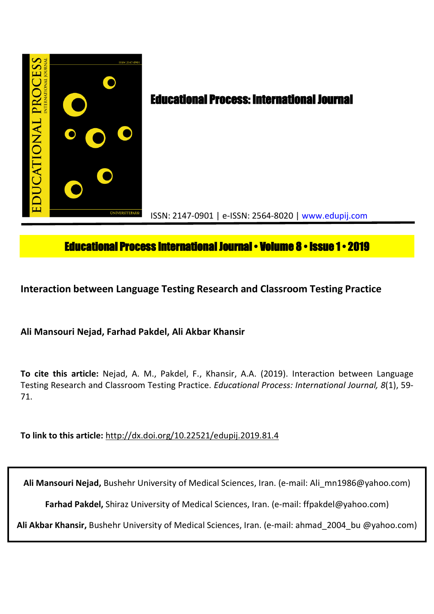

# **Educational Process International Journal • Volume 8 • Issue 1 • 2019**

**Interaction between Language Testing Research and Classroom Testing Practice**

**Ali Mansouri Nejad, Farhad Pakdel, Ali Akbar Khansir**

**To cite this article:** Nejad, A. M., Pakdel, F., Khansir, A.A. (2019). Interaction between Language Testing Research and Classroom Testing Practice. *Educational Process: International Journal, 8*(1), 59- 71.

**To link to this article:** http://dx.doi.org/10.22521/edupij.2019.81.4

**Ali Mansouri Nejad,** Bushehr University of Medical Sciences, Iran. (e-mail: Ali\_mn1986@yahoo.com)

**Farhad Pakdel,** Shiraz University of Medical Sciences, Iran. (e-mail: ffpakdel@yahoo.com)

**Ali Akbar Khansir,** Bushehr University of Medical Sciences, Iran. (e-mail: ahmad\_2004\_bu @yahoo.com)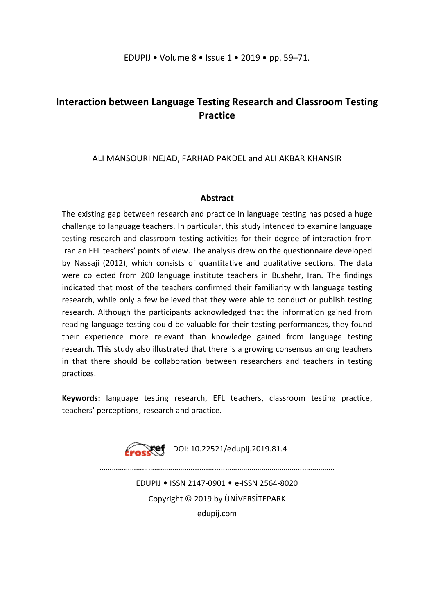# **Interaction between Language Testing Research and Classroom Testing Practice**

## ALI MANSOURI NEJAD, FARHAD PAKDEL and ALI AKBAR KHANSIR

## **Abstract**

The existing gap between research and practice in language testing has posed a huge challenge to language teachers. In particular, this study intended to examine language testing research and classroom testing activities for their degree of interaction from Iranian EFL teachers' points of view. The analysis drew on the questionnaire developed by Nassaji (2012), which consists of quantitative and qualitative sections. The data were collected from 200 language institute teachers in Bushehr, Iran. The findings indicated that most of the teachers confirmed their familiarity with language testing research, while only a few believed that they were able to conduct or publish testing research. Although the participants acknowledged that the information gained from reading language testing could be valuable for their testing performances, they found their experience more relevant than knowledge gained from language testing research. This study also illustrated that there is a growing consensus among teachers in that there should be collaboration between researchers and teachers in testing practices.

**Keywords:** language testing research, EFL teachers, classroom testing practice, teachers' perceptions, research and practice.

Froskef DOI: 10.22521/edupij.2019.81.4

………………………………………........….....………………………………...……………

EDUPIJ • ISSN 2147-0901 • e-ISSN 2564-8020 Copyright © 2019 by ÜNİVERSİTEPARK edupij.com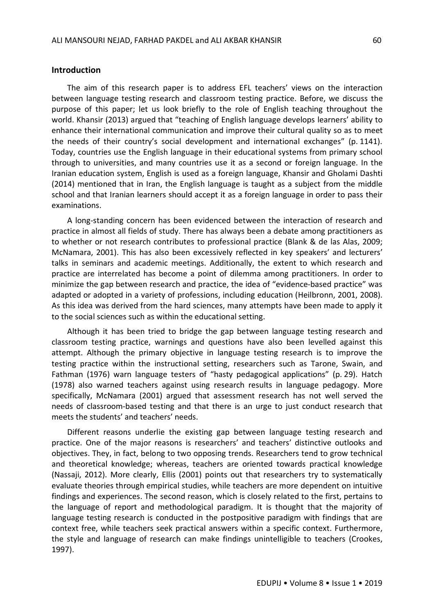#### **Introduction**

The aim of this research paper is to address EFL teachers' views on the interaction between language testing research and classroom testing practice. Before, we discuss the purpose of this paper; let us look briefly to the role of English teaching throughout the world. Khansir (2013) argued that "teaching of English language develops learners' ability to enhance their international communication and improve their cultural quality so as to meet the needs of their country's social development and international exchanges" (p. 1141). Today, countries use the English language in their educational systems from primary school through to universities, and many countries use it as a second or foreign language. In the Iranian education system, English is used as a foreign language, Khansir and Gholami Dashti (2014) mentioned that in Iran, the English language is taught as a subject from the middle school and that Iranian learners should accept it as a foreign language in order to pass their examinations.

A long-standing concern has been evidenced between the interaction of research and practice in almost all fields of study. There has always been a debate among practitioners as to whether or not research contributes to professional practice (Blank & de las Alas, 2009; McNamara, 2001). This has also been excessively reflected in key speakers' and lecturers' talks in seminars and academic meetings. Additionally, the extent to which research and practice are interrelated has become a point of dilemma among practitioners. In order to minimize the gap between research and practice, the idea of "evidence-based practice" was adapted or adopted in a variety of professions, including education (Heilbronn, 2001, 2008). As this idea was derived from the hard sciences, many attempts have been made to apply it to the social sciences such as within the educational setting.

Although it has been tried to bridge the gap between language testing research and classroom testing practice, warnings and questions have also been levelled against this attempt. Although the primary objective in language testing research is to improve the testing practice within the instructional setting, researchers such as Tarone, Swain, and Fathman (1976) warn language testers of "hasty pedagogical applications" (p. 29). Hatch (1978) also warned teachers against using research results in language pedagogy. More specifically, McNamara (2001) argued that assessment research has not well served the needs of classroom-based testing and that there is an urge to just conduct research that meets the students' and teachers' needs.

Different reasons underlie the existing gap between language testing research and practice. One of the major reasons is researchers' and teachers' distinctive outlooks and objectives. They, in fact, belong to two opposing trends. Researchers tend to grow technical and theoretical knowledge; whereas, teachers are oriented towards practical knowledge (Nassaji, 2012). More clearly, Ellis (2001) points out that researchers try to systematically evaluate theories through empirical studies, while teachers are more dependent on intuitive findings and experiences. The second reason, which is closely related to the first, pertains to the language of report and methodological paradigm. It is thought that the majority of language testing research is conducted in the postpositive paradigm with findings that are context free, while teachers seek practical answers within a specific context. Furthermore, the style and language of research can make findings unintelligible to teachers (Crookes, 1997).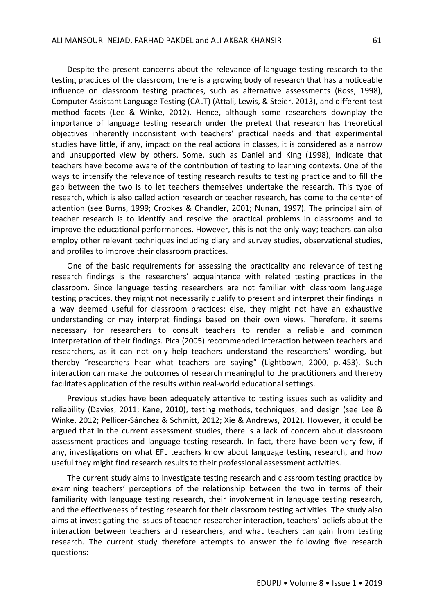Despite the present concerns about the relevance of language testing research to the testing practices of the classroom, there is a growing body of research that has a noticeable influence on classroom testing practices, such as alternative assessments (Ross, 1998), Computer Assistant Language Testing (CALT) (Attali, Lewis, & Steier, 2013), and different test method facets (Lee & Winke, 2012). Hence, although some researchers downplay the importance of language testing research under the pretext that research has theoretical objectives inherently inconsistent with teachers' practical needs and that experimental studies have little, if any, impact on the real actions in classes, it is considered as a narrow and unsupported view by others. Some, such as Daniel and King (1998), indicate that teachers have become aware of the contribution of testing to learning contexts. One of the ways to intensify the relevance of testing research results to testing practice and to fill the gap between the two is to let teachers themselves undertake the research. This type of research, which is also called action research or teacher research, has come to the center of attention (see Burns, 1999; Crookes & Chandler, 2001; Nunan, 1997). The principal aim of teacher research is to identify and resolve the practical problems in classrooms and to improve the educational performances. However, this is not the only way; teachers can also employ other relevant techniques including diary and survey studies, observational studies, and profiles to improve their classroom practices.

One of the basic requirements for assessing the practicality and relevance of testing research findings is the researchers' acquaintance with related testing practices in the classroom. Since language testing researchers are not familiar with classroom language testing practices, they might not necessarily qualify to present and interpret their findings in a way deemed useful for classroom practices; else, they might not have an exhaustive understanding or may interpret findings based on their own views. Therefore, it seems necessary for researchers to consult teachers to render a reliable and common interpretation of their findings. Pica (2005) recommended interaction between teachers and researchers, as it can not only help teachers understand the researchers' wording, but thereby "researchers hear what teachers are saying" (Lightbown, 2000, p. 453). Such interaction can make the outcomes of research meaningful to the practitioners and thereby facilitates application of the results within real-world educational settings.

Previous studies have been adequately attentive to testing issues such as validity and reliability (Davies, 2011; Kane, 2010), testing methods, techniques, and design (see Lee & Winke, 2012; Pellicer-Sánchez & Schmitt, 2012; Xie & Andrews, 2012). However, it could be argued that in the current assessment studies, there is a lack of concern about classroom assessment practices and language testing research. In fact, there have been very few, if any, investigations on what EFL teachers know about language testing research, and how useful they might find research results to their professional assessment activities.

The current study aims to investigate testing research and classroom testing practice by examining teachers' perceptions of the relationship between the two in terms of their familiarity with language testing research, their involvement in language testing research, and the effectiveness of testing research for their classroom testing activities. The study also aims at investigating the issues of teacher-researcher interaction, teachers' beliefs about the interaction between teachers and researchers, and what teachers can gain from testing research. The current study therefore attempts to answer the following five research questions: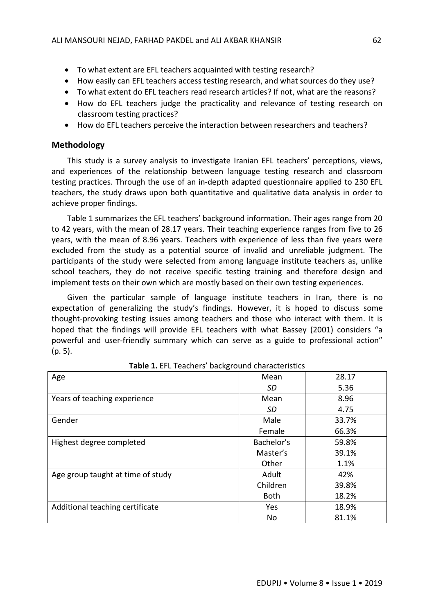- To what extent are EFL teachers acquainted with testing research?
- How easily can EFL teachers access testing research, and what sources do they use?
- To what extent do EFL teachers read research articles? If not, what are the reasons?
- How do EFL teachers judge the practicality and relevance of testing research on classroom testing practices?
- How do EFL teachers perceive the interaction between researchers and teachers?

## **Methodology**

This study is a survey analysis to investigate Iranian EFL teachers' perceptions, views, and experiences of the relationship between language testing research and classroom testing practices. Through the use of an in-depth adapted questionnaire applied to 230 EFL teachers, the study draws upon both quantitative and qualitative data analysis in order to achieve proper findings.

Table 1 summarizes the EFL teachers' background information. Their ages range from 20 to 42 years, with the mean of 28.17 years. Their teaching experience ranges from five to 26 years, with the mean of 8.96 years. Teachers with experience of less than five years were excluded from the study as a potential source of invalid and unreliable judgment. The participants of the study were selected from among language institute teachers as, unlike school teachers, they do not receive specific testing training and therefore design and implement tests on their own which are mostly based on their own testing experiences.

Given the particular sample of language institute teachers in Iran, there is no expectation of generalizing the study's findings. However, it is hoped to discuss some thought-provoking testing issues among teachers and those who interact with them. It is hoped that the findings will provide EFL teachers with what Bassey (2001) considers "a powerful and user-friendly summary which can serve as a guide to professional action" (p. 5).

| Age                               | Mean        | 28.17 |
|-----------------------------------|-------------|-------|
|                                   | SD          | 5.36  |
| Years of teaching experience      | Mean        | 8.96  |
|                                   | <b>SD</b>   | 4.75  |
| Gender                            | Male        | 33.7% |
|                                   | Female      | 66.3% |
| Highest degree completed          | Bachelor's  | 59.8% |
|                                   | Master's    | 39.1% |
|                                   | Other       | 1.1%  |
| Age group taught at time of study | Adult       | 42%   |
|                                   | Children    | 39.8% |
|                                   | <b>Both</b> | 18.2% |
| Additional teaching certificate   | Yes         | 18.9% |
|                                   | No          | 81.1% |

| Table 1. EFL Teachers' background characteristics |  |  |
|---------------------------------------------------|--|--|
|---------------------------------------------------|--|--|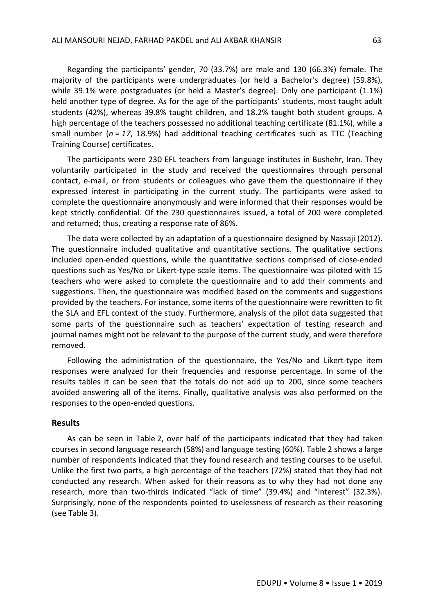Regarding the participants' gender, 70 (33.7%) are male and 130 (66.3%) female. The majority of the participants were undergraduates (or held a Bachelor's degree) (59.8%), while 39.1% were postgraduates (or held a Master's degree). Only one participant (1.1%) held another type of degree. As for the age of the participants' students, most taught adult students (42%), whereas 39.8% taught children, and 18.2% taught both student groups. A high percentage of the teachers possessed no additional teaching certificate (81.1%), while a small number (*n* = *17*, 18.9%) had additional teaching certificates such as TTC (Teaching Training Course) certificates.

The participants were 230 EFL teachers from language institutes in Bushehr, Iran. They voluntarily participated in the study and received the questionnaires through personal contact, e-mail, or from students or colleagues who gave them the questionnaire if they expressed interest in participating in the current study. The participants were asked to complete the questionnaire anonymously and were informed that their responses would be kept strictly confidential. Of the 230 questionnaires issued, a total of 200 were completed and returned; thus, creating a response rate of 86%.

The data were collected by an adaptation of a questionnaire designed by Nassaji (2012). The questionnaire included qualitative and quantitative sections. The qualitative sections included open-ended questions, while the quantitative sections comprised of close-ended questions such as Yes/No or Likert-type scale items. The questionnaire was piloted with 15 teachers who were asked to complete the questionnaire and to add their comments and suggestions. Then, the questionnaire was modified based on the comments and suggestions provided by the teachers. For instance, some items of the questionnaire were rewritten to fit the SLA and EFL context of the study. Furthermore, analysis of the pilot data suggested that some parts of the questionnaire such as teachers' expectation of testing research and journal names might not be relevant to the purpose of the current study, and were therefore removed.

Following the administration of the questionnaire, the Yes/No and Likert-type item responses were analyzed for their frequencies and response percentage. In some of the results tables it can be seen that the totals do not add up to 200, since some teachers avoided answering all of the items. Finally, qualitative analysis was also performed on the responses to the open-ended questions.

### **Results**

As can be seen in Table 2, over half of the participants indicated that they had taken courses in second language research (58%) and language testing (60%). Table 2 shows a large number of respondents indicated that they found research and testing courses to be useful. Unlike the first two parts, a high percentage of the teachers (72%) stated that they had not conducted any research. When asked for their reasons as to why they had not done any research, more than two-thirds indicated "lack of time" (39.4%) and "interest" (32.3%). Surprisingly, none of the respondents pointed to uselessness of research as their reasoning (see Table 3).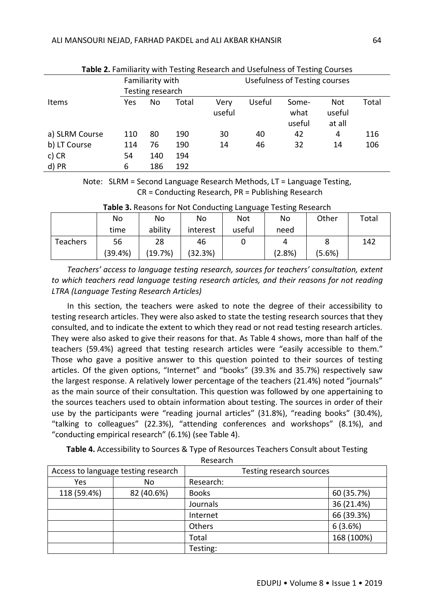| <b>Table 2.</b> Familiarity with Testing Research and Osefulness of Testing Courses |                  |                  |       |                |                                      |                         |                         |       |
|-------------------------------------------------------------------------------------|------------------|------------------|-------|----------------|--------------------------------------|-------------------------|-------------------------|-------|
|                                                                                     | Familiarity with |                  |       |                | <b>Usefulness of Testing courses</b> |                         |                         |       |
|                                                                                     |                  | Testing research |       |                |                                      |                         |                         |       |
| <b>Items</b>                                                                        | Yes              | No               | Total | Very<br>useful | Useful                               | Some-<br>what<br>useful | Not<br>useful<br>at all | Total |
| a) SLRM Course                                                                      | 110              | 80               | 190   | 30             | 40                                   | 42                      | 4                       | 116   |
| b) LT Course                                                                        | 114              | 76               | 190   | 14             | 46                                   | 32                      | 14                      | 106   |
| $c)$ CR                                                                             | 54               | 140              | 194   |                |                                      |                         |                         |       |
| d) PR                                                                               | 6                | 186              | 192   |                |                                      |                         |                         |       |

| Table 2. Familiarity with Testing Research and Usefulness of Testing Courses |  |
|------------------------------------------------------------------------------|--|
|------------------------------------------------------------------------------|--|

Note: SLRM = Second Language Research Methods, LT = Language Testing, CR = Conducting Research, PR = Publishing Research

| ້<br>ີ<br>ີ<br>ັ |         |         |          |        |        |        |       |
|------------------|---------|---------|----------|--------|--------|--------|-------|
|                  | No      | No      | No       | Not    | No     | Other  | Total |
|                  | time    | ability | interest | useful | need   |        |       |
| Teachers         | 56      | 28      | 46       |        | 4      |        | 142   |
|                  | (39.4%) | (19.7%) | (32.3%)  |        | (2.8%) | (5.6%) |       |

**Table 3.** Reasons for Not Conducting Language Testing Research

*Teachers' access to language testing research, sources for teachers' consultation, extent to which teachers read language testing research articles, and their reasons for not reading LTRA (Language Testing Research Articles)*

In this section, the teachers were asked to note the degree of their accessibility to testing research articles. They were also asked to state the testing research sources that they consulted, and to indicate the extent to which they read or not read testing research articles. They were also asked to give their reasons for that. As Table 4 shows, more than half of the teachers (59.4%) agreed that testing research articles were "easily accessible to them." Those who gave a positive answer to this question pointed to their sources of testing articles. Of the given options, "Internet" and "books" (39.3% and 35.7%) respectively saw the largest response. A relatively lower percentage of the teachers (21.4%) noted "journals" as the main source of their consultation. This question was followed by one appertaining to the sources teachers used to obtain information about testing. The sources in order of their use by the participants were "reading journal articles" (31.8%), "reading books" (30.4%), "talking to colleagues" (22.3%), "attending conferences and workshops" (8.1%), and "conducting empirical research" (6.1%) (see Table 4).

**Table 4.** Accessibility to Sources & Type of Resources Teachers Consult about Testing

Research

| Access to language testing research |            | Testing research sources |            |
|-------------------------------------|------------|--------------------------|------------|
| Yes                                 | No         | Research:                |            |
| 118 (59.4%)                         | 82 (40.6%) | <b>Books</b>             | 60 (35.7%) |
|                                     |            | Journals                 | 36 (21.4%) |
|                                     |            | Internet                 | 66 (39.3%) |
|                                     |            | Others                   | 6(3.6%)    |
|                                     |            | Total                    | 168 (100%) |
|                                     |            | Testing:                 |            |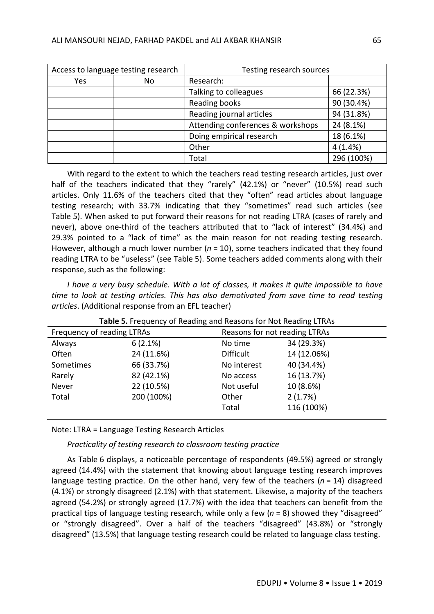| Access to language testing research |    | Testing research sources          |            |
|-------------------------------------|----|-----------------------------------|------------|
| Yes                                 | No | Research:                         |            |
|                                     |    | Talking to colleagues             | 66 (22.3%) |
|                                     |    | Reading books                     | 90 (30.4%) |
|                                     |    | Reading journal articles          | 94 (31.8%) |
|                                     |    | Attending conferences & workshops | 24 (8.1%)  |
|                                     |    | Doing empirical research          | 18 (6.1%)  |
|                                     |    | Other                             | 4(1.4%)    |
|                                     |    | Total                             | 296 (100%) |

With regard to the extent to which the teachers read testing research articles, just over half of the teachers indicated that they "rarely" (42.1%) or "never" (10.5%) read such articles. Only 11.6% of the teachers cited that they "often" read articles about language testing research; with 33.7% indicating that they "sometimes" read such articles (see Table 5). When asked to put forward their reasons for not reading LTRA (cases of rarely and never), above one-third of the teachers attributed that to "lack of interest" (34.4%) and 29.3% pointed to a "lack of time" as the main reason for not reading testing research. However, although a much lower number ( $n = 10$ ), some teachers indicated that they found reading LTRA to be "useless" (see Table 5). Some teachers added comments along with their response, such as the following:

*I have a very busy schedule. With a lot of classes, it makes it quite impossible to have time to look at testing articles. This has also demotivated from save time to read testing articles*. (Additional response from an EFL teacher)

| Frequency of reading LTRAs |            | Reasons for not reading LTRAs |             |  |
|----------------------------|------------|-------------------------------|-------------|--|
| Always                     | 6(2.1%)    | No time                       | 34 (29.3%)  |  |
| Often                      | 24 (11.6%) | <b>Difficult</b>              | 14 (12.06%) |  |
| Sometimes                  | 66 (33.7%) | No interest                   | 40 (34.4%)  |  |
| Rarely                     | 82 (42.1%) | No access                     | 16 (13.7%)  |  |
| Never                      | 22 (10.5%) | Not useful                    | 10 (8.6%)   |  |
| Total                      | 200 (100%) | Other                         | 2(1.7%)     |  |
|                            |            | Total                         | 116 (100%)  |  |
|                            |            |                               |             |  |

| Table 5. Frequency of Reading and Reasons for Not Reading LTRAs |  |
|-----------------------------------------------------------------|--|
|-----------------------------------------------------------------|--|

Note: LTRA = Language Testing Research Articles

*Practicality of testing research to classroom testing practice*

As Table 6 displays, a noticeable percentage of respondents (49.5%) agreed or strongly agreed (14.4%) with the statement that knowing about language testing research improves language testing practice. On the other hand, very few of the teachers (*n* = 14) disagreed (4.1%) or strongly disagreed (2.1%) with that statement. Likewise, a majority of the teachers agreed (54.2%) or strongly agreed (17.7%) with the idea that teachers can benefit from the practical tips of language testing research, while only a few (*n* = 8) showed they "disagreed" or "strongly disagreed". Over a half of the teachers "disagreed" (43.8%) or "strongly disagreed" (13.5%) that language testing research could be related to language class testing.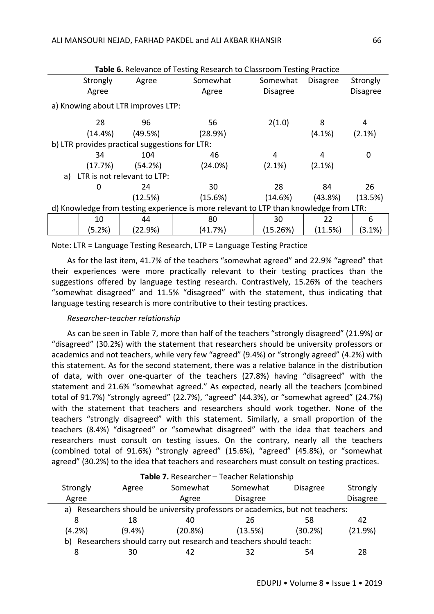|                                                                                       | Table 6. Relevance of Testing Research to Classroom Testing Practice |                                                |          |                 |                 |                 |  |
|---------------------------------------------------------------------------------------|----------------------------------------------------------------------|------------------------------------------------|----------|-----------------|-----------------|-----------------|--|
|                                                                                       | Strongly                                                             | Agree                                          | Somewhat | Somewhat        | <b>Disagree</b> | Strongly        |  |
|                                                                                       | Agree                                                                |                                                | Agree    | <b>Disagree</b> |                 | <b>Disagree</b> |  |
|                                                                                       |                                                                      | a) Knowing about LTR improves LTP:             |          |                 |                 |                 |  |
|                                                                                       | 28                                                                   | 96                                             | 56       | 2(1.0)          | 8               | 4               |  |
|                                                                                       | $(14.4\%)$                                                           | (49.5%)                                        | (28.9%)  |                 | $(4.1\%)$       | (2.1%)          |  |
|                                                                                       |                                                                      | b) LTR provides practical suggestions for LTR: |          |                 |                 |                 |  |
|                                                                                       | 34                                                                   | 104                                            | 46       | 4               | 4               | 0               |  |
|                                                                                       | (17.7%)                                                              | (54.2%)                                        | (24.0%)  | (2.1%)          | $(2.1\%)$       |                 |  |
| a)                                                                                    |                                                                      | LTR is not relevant to LTP:                    |          |                 |                 |                 |  |
|                                                                                       | 0                                                                    | 24                                             | 30       | 28              | 84              | 26              |  |
|                                                                                       |                                                                      | (12.5%)                                        | (15.6%)  | (14.6%)         | (43.8%)         | (13.5%)         |  |
| d) Knowledge from testing experience is more relevant to LTP than knowledge from LTR: |                                                                      |                                                |          |                 |                 |                 |  |
|                                                                                       | 10                                                                   | 44                                             | 80       | 30              | 22              | 6               |  |
|                                                                                       | (5.2%)                                                               | (22.9%)                                        | (41.7%)  | (15.26%)        | (11.5%)         | (3.1%)          |  |

Note: LTR = Language Testing Research, LTP = Language Testing Practice

As for the last item, 41.7% of the teachers "somewhat agreed" and 22.9% "agreed" that their experiences were more practically relevant to their testing practices than the suggestions offered by language testing research. Contrastively, 15.26% of the teachers "somewhat disagreed" and 11.5% "disagreed" with the statement, thus indicating that language testing research is more contributive to their testing practices.

## *Researcher-teacher relationship*

As can be seen in Table 7, more than half of the teachers "strongly disagreed" (21.9%) or "disagreed" (30.2%) with the statement that researchers should be university professors or academics and not teachers, while very few "agreed" (9.4%) or "strongly agreed" (4.2%) with this statement. As for the second statement, there was a relative balance in the distribution of data, with over one-quarter of the teachers (27.8%) having "disagreed" with the statement and 21.6% "somewhat agreed." As expected, nearly all the teachers (combined total of 91.7%) "strongly agreed" (22.7%), "agreed" (44.3%), or "somewhat agreed" (24.7%) with the statement that teachers and researchers should work together. None of the teachers "strongly disagreed" with this statement. Similarly, a small proportion of the teachers (8.4%) "disagreed" or "somewhat disagreed" with the idea that teachers and researchers must consult on testing issues. On the contrary, nearly all the teachers (combined total of 91.6%) "strongly agreed" (15.6%), "agreed" (45.8%), or "somewhat agreed" (30.2%) to the idea that teachers and researchers must consult on testing practices.

|                                                                     | Table 7. Researcher - Teacher Relationship                                     |          |                 |                 |                 |  |  |  |
|---------------------------------------------------------------------|--------------------------------------------------------------------------------|----------|-----------------|-----------------|-----------------|--|--|--|
| Strongly                                                            | Agree                                                                          | Somewhat | Somewhat        | <b>Disagree</b> | Strongly        |  |  |  |
| Agree                                                               |                                                                                | Agree    | <b>Disagree</b> |                 | <b>Disagree</b> |  |  |  |
|                                                                     | a) Researchers should be university professors or academics, but not teachers: |          |                 |                 |                 |  |  |  |
| 8                                                                   | 18                                                                             | 40       | 26              | 58              | 42              |  |  |  |
| (4.2%)                                                              | $(9.4\%)$                                                                      | (20.8%)  | (13.5%)         | (30.2%)         | (21.9%)         |  |  |  |
| b) Researchers should carry out research and teachers should teach: |                                                                                |          |                 |                 |                 |  |  |  |
| 8                                                                   |                                                                                |          | 32              | 54              | 28              |  |  |  |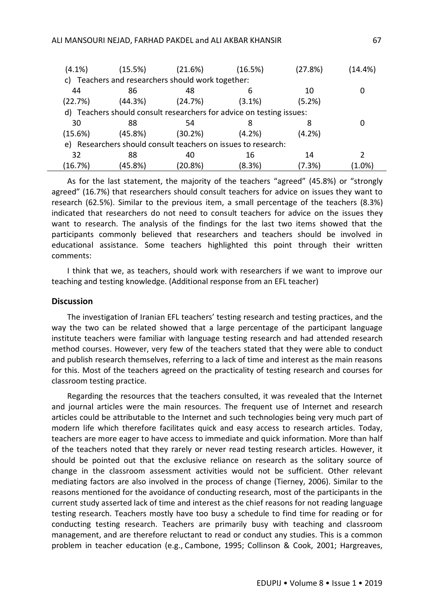| $(4.1\%)$ | (15.5%) | (21.6%)                                                              | (16.5%)   | (27.8%)   | (14.4%)   |
|-----------|---------|----------------------------------------------------------------------|-----------|-----------|-----------|
|           |         | c) Teachers and researchers should work together:                    |           |           |           |
| 44        | 86      | 48                                                                   | 6         | 10        |           |
| (22.7%)   | (44.3%) | (24.7%)                                                              | $(3.1\%)$ | (5.2%)    |           |
|           |         | d) Teachers should consult researchers for advice on testing issues: |           |           |           |
| 30        | 88      | 54                                                                   |           | 8         | 0         |
| (15.6%)   | (45.8%) | (30.2%)                                                              | (4.2%)    | $(4.2\%)$ |           |
|           |         | e) Researchers should consult teachers on issues to research:        |           |           |           |
| 32        | 88      | 40                                                                   | 16        | 14        |           |
| (16.7%)   | (45.8%) | (20.8%)                                                              | (8.3%)    | (7.3%)    | $(1.0\%)$ |

As for the last statement, the majority of the teachers "agreed" (45.8%) or "strongly agreed" (16.7%) that researchers should consult teachers for advice on issues they want to research (62.5%). Similar to the previous item, a small percentage of the teachers (8.3%) indicated that researchers do not need to consult teachers for advice on the issues they want to research. The analysis of the findings for the last two items showed that the participants commonly believed that researchers and teachers should be involved in educational assistance. Some teachers highlighted this point through their written comments:

I think that we, as teachers, should work with researchers if we want to improve our teaching and testing knowledge. (Additional response from an EFL teacher)

#### **Discussion**

The investigation of Iranian EFL teachers' testing research and testing practices, and the way the two can be related showed that a large percentage of the participant language institute teachers were familiar with language testing research and had attended research method courses. However, very few of the teachers stated that they were able to conduct and publish research themselves, referring to a lack of time and interest as the main reasons for this. Most of the teachers agreed on the practicality of testing research and courses for classroom testing practice.

Regarding the resources that the teachers consulted, it was revealed that the Internet and journal articles were the main resources. The frequent use of Internet and research articles could be attributable to the Internet and such technologies being very much part of modern life which therefore facilitates quick and easy access to research articles. Today, teachers are more eager to have access to immediate and quick information. More than half of the teachers noted that they rarely or never read testing research articles. However, it should be pointed out that the exclusive reliance on research as the solitary source of change in the classroom assessment activities would not be sufficient. Other relevant mediating factors are also involved in the process of change (Tierney, 2006). Similar to the reasons mentioned for the avoidance of conducting research, most of the participants in the current study asserted lack of time and interest as the chief reasons for not reading language testing research. Teachers mostly have too busy a schedule to find time for reading or for conducting testing research. Teachers are primarily busy with teaching and classroom management, and are therefore reluctant to read or conduct any studies. This is a common problem in teacher education (e.g., Cambone, 1995; Collinson & Cook, 2001; Hargreaves,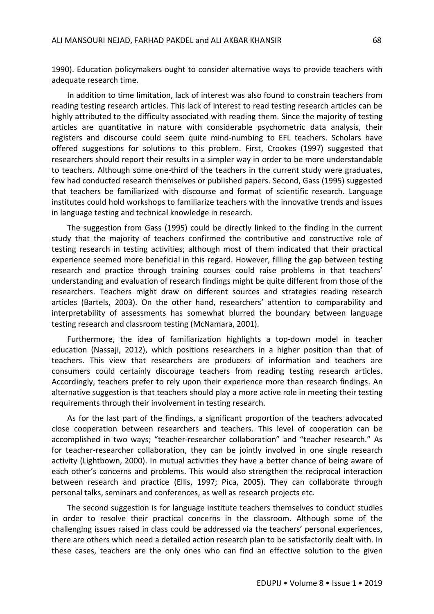1990). Education policymakers ought to consider alternative ways to provide teachers with adequate research time.

In addition to time limitation, lack of interest was also found to constrain teachers from reading testing research articles. This lack of interest to read testing research articles can be highly attributed to the difficulty associated with reading them. Since the majority of testing articles are quantitative in nature with considerable psychometric data analysis, their registers and discourse could seem quite mind-numbing to EFL teachers. Scholars have offered suggestions for solutions to this problem. First, Crookes (1997) suggested that researchers should report their results in a simpler way in order to be more understandable to teachers. Although some one-third of the teachers in the current study were graduates, few had conducted research themselves or published papers. Second, Gass (1995) suggested that teachers be familiarized with discourse and format of scientific research. Language institutes could hold workshops to familiarize teachers with the innovative trends and issues in language testing and technical knowledge in research.

The suggestion from Gass (1995) could be directly linked to the finding in the current study that the majority of teachers confirmed the contributive and constructive role of testing research in testing activities; although most of them indicated that their practical experience seemed more beneficial in this regard. However, filling the gap between testing research and practice through training courses could raise problems in that teachers' understanding and evaluation of research findings might be quite different from those of the researchers. Teachers might draw on different sources and strategies reading research articles (Bartels, 2003). On the other hand, researchers' attention to comparability and interpretability of assessments has somewhat blurred the boundary between language testing research and classroom testing (McNamara, 2001).

Furthermore, the idea of familiarization highlights a top-down model in teacher education (Nassaji, 2012), which positions researchers in a higher position than that of teachers. This view that researchers are producers of information and teachers are consumers could certainly discourage teachers from reading testing research articles. Accordingly, teachers prefer to rely upon their experience more than research findings. An alternative suggestion is that teachers should play a more active role in meeting their testing requirements through their involvement in testing research.

As for the last part of the findings, a significant proportion of the teachers advocated close cooperation between researchers and teachers. This level of cooperation can be accomplished in two ways; "teacher-researcher collaboration" and "teacher research." As for teacher-researcher collaboration, they can be jointly involved in one single research activity (Lightbown, 2000). In mutual activities they have a better chance of being aware of each other's concerns and problems. This would also strengthen the reciprocal interaction between research and practice (Ellis, 1997; Pica, 2005). They can collaborate through personal talks, seminars and conferences, as well as research projects etc.

The second suggestion is for language institute teachers themselves to conduct studies in order to resolve their practical concerns in the classroom. Although some of the challenging issues raised in class could be addressed via the teachers' personal experiences, there are others which need a detailed action research plan to be satisfactorily dealt with. In these cases, teachers are the only ones who can find an effective solution to the given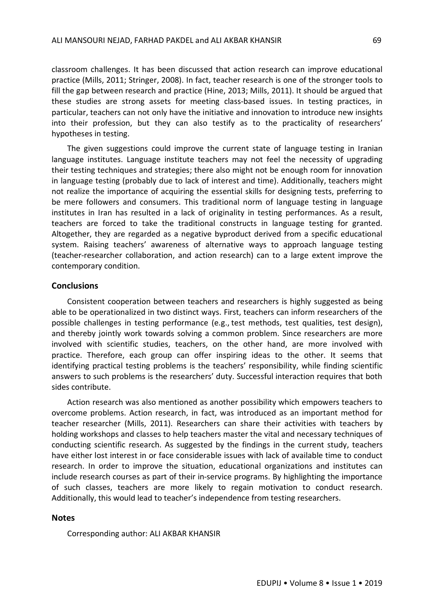classroom challenges. It has been discussed that action research can improve educational practice (Mills, 2011; Stringer, 2008). In fact, teacher research is one of the stronger tools to fill the gap between research and practice (Hine, 2013; Mills, 2011). It should be argued that these studies are strong assets for meeting class-based issues. In testing practices, in particular, teachers can not only have the initiative and innovation to introduce new insights into their profession, but they can also testify as to the practicality of researchers' hypotheses in testing.

The given suggestions could improve the current state of language testing in Iranian language institutes. Language institute teachers may not feel the necessity of upgrading their testing techniques and strategies; there also might not be enough room for innovation in language testing (probably due to lack of interest and time). Additionally, teachers might not realize the importance of acquiring the essential skills for designing tests, preferring to be mere followers and consumers. This traditional norm of language testing in language institutes in Iran has resulted in a lack of originality in testing performances. As a result, teachers are forced to take the traditional constructs in language testing for granted. Altogether, they are regarded as a negative byproduct derived from a specific educational system. Raising teachers' awareness of alternative ways to approach language testing (teacher-researcher collaboration, and action research) can to a large extent improve the contemporary condition.

### **Conclusions**

Consistent cooperation between teachers and researchers is highly suggested as being able to be operationalized in two distinct ways. First, teachers can inform researchers of the possible challenges in testing performance (e.g., test methods, test qualities, test design), and thereby jointly work towards solving a common problem. Since researchers are more involved with scientific studies, teachers, on the other hand, are more involved with practice. Therefore, each group can offer inspiring ideas to the other. It seems that identifying practical testing problems is the teachers' responsibility, while finding scientific answers to such problems is the researchers' duty. Successful interaction requires that both sides contribute.

Action research was also mentioned as another possibility which empowers teachers to overcome problems. Action research, in fact, was introduced as an important method for teacher researcher (Mills, 2011). Researchers can share their activities with teachers by holding workshops and classes to help teachers master the vital and necessary techniques of conducting scientific research. As suggested by the findings in the current study, teachers have either lost interest in or face considerable issues with lack of available time to conduct research. In order to improve the situation, educational organizations and institutes can include research courses as part of their in-service programs. By highlighting the importance of such classes, teachers are more likely to regain motivation to conduct research. Additionally, this would lead to teacher's independence from testing researchers.

#### **Notes**

Corresponding author: ALI AKBAR KHANSIR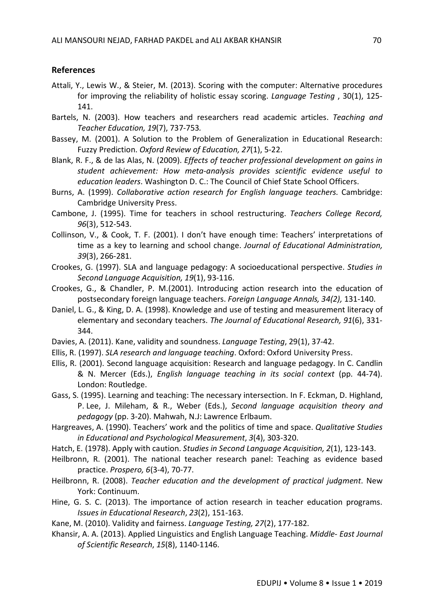## **References**

- Attali, Y., Lewis W., & Steier, M. (2013). Scoring with the computer: Alternative procedures for improving the reliability of holistic essay scoring. *Language Testing* , 30(1), 125- 141.
- Bartels, N. (2003). How teachers and researchers read academic articles. *Teaching and Teacher Education, 19*(7), 737-753*.*
- Bassey, M. (2001). A Solution to the Problem of Generalization in Educational Research: Fuzzy Prediction. *Oxford Review of Education, 27*(1), 5-22.
- Blank, R. F., & de las Alas, N. (2009). *Effects of teacher professional development on gains in student achievement: How meta-analysis provides scientific evidence useful to education leaders*. Washington D. C.: The Council of Chief State School Officers.
- Burns, A. (1999). *Collaborative action research for English language teachers*. Cambridge: Cambridge University Press.
- Cambone, J. (1995). Time for teachers in school restructuring. *Teachers College Record, 96*(3), 512-543.
- Collinson, V., & Cook, T. F. (2001). I don't have enough time: Teachers' interpretations of time as a key to learning and school change. *Journal of Educational Administration, 39*(3), 266-281.
- Crookes, G. (1997). SLA and language pedagogy: A socioeducational perspective. *Studies in Second Language Acquisition, 19*(1), 93-116.
- Crookes, G., & Chandler, P. M.(2001). Introducing action research into the education of postsecondary foreign language teachers. *Foreign Language Annals, 34(2),* 131-140.
- Daniel, L. G., & King, D. A. (1998). Knowledge and use of testing and measurement literacy of elementary and secondary teachers. *The Journal of Educational Research, 91*(6), 331- 344.
- Davies, A. (2011). Kane, validity and soundness. *Language Testing*, 29(1), 37-42.
- Ellis, R. (1997). *SLA research and language teaching*. Oxford: Oxford University Press.
- Ellis, R. (2001). Second language acquisition: Research and language pedagogy. In C. Candlin & N. Mercer (Eds.), *English language teaching in its social context* (pp. 44-74). London: Routledge.
- Gass, S. (1995). Learning and teaching: The necessary intersection. In F. Eckman, D. Highland, P. Lee, J. Mileham, & R., Weber (Eds.), *Second language acquisition theory and pedagogy* (pp. 3-20). Mahwah, N.J: Lawrence Erlbaum.
- Hargreaves, A. (1990). Teachers' work and the politics of time and space. *Qualitative Studies in Educational and Psychological Measurement*, *3*(4), 303-320.
- Hatch, E. (1978). Apply with caution. *Studies in Second Language Acquisition, 2*(1), 123-143.
- Heilbronn, R. (2001). The national teacher research panel: Teaching as evidence based practice. *Prospero, 6*(3-4), 70-77.
- Heilbronn, R. (2008). *Teacher education and the development of practical judgment*. New York: Continuum.
- Hine, G. S. C. (2013). The importance of action research in teacher education programs. *Issues in Educational Research*, *23*(2), 151-163.
- Kane, M. (2010). Validity and fairness. *Language Testing, 27*(2), 177-182.
- Khansir, A. A. (2013). Applied Linguistics and English Language Teaching. *Middle- East Journal of Scientific Research*, *15*(8), 1140-1146.